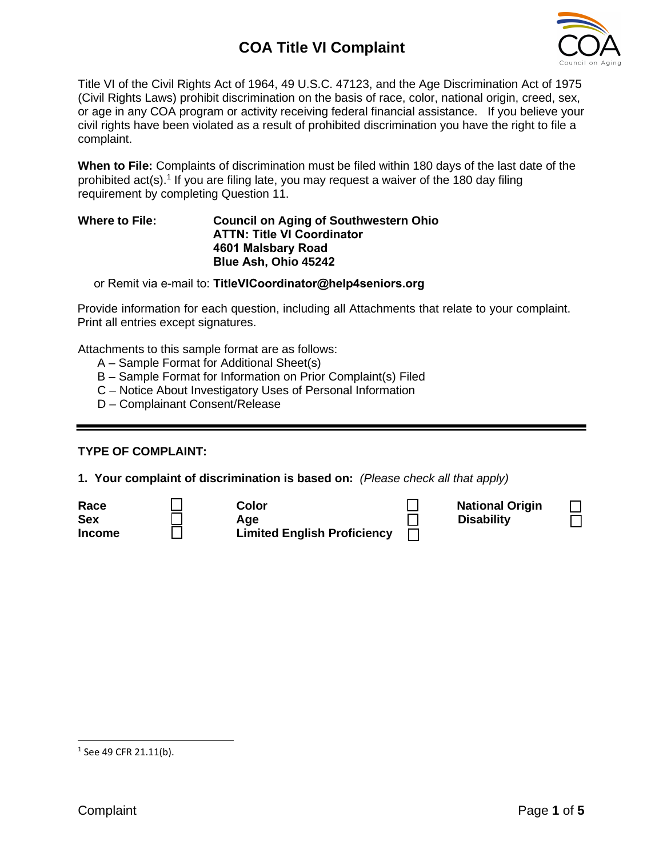

Title VI of the Civil Rights Act of 1964, 49 U.S.C. 47123, and the Age Discrimination Act of 1975 (Civil Rights Laws) prohibit discrimination on the basis of race, color, national origin, creed, sex, or age in any COA program or activity receiving federal financial assistance. If you believe your civil rights have been violated as a result of prohibited discrimination you have the right to file a complaint.

**When to File:** Complaints of discrimination must be filed within 180 days of the last date of the prohibited  $act(s)$ .<sup>1</sup> If you are filing late, you may request a waiver of the 180 day filing requirement by completing Question 11.

#### **Where to File: Council on Aging of Southwestern Ohio ATTN: Title VI Coordinator 4601 Malsbary Road Blue Ash, Ohio 45242**

or Remit via e-mail to: **TitleVICoordinator@help4seniors.org**

Provide information for each question, including all Attachments that relate to your complaint. Print all entries except signatures.

Attachments to this sample format are as follows:

- A Sample Format for Additional Sheet(s)
- B Sample Format for Information on Prior Complaint(s) Filed
- C Notice About Investigatory Uses of Personal Information
- D Complainant Consent/Release

#### **TYPE OF COMPLAINT:**

**1. Your complaint of discrimination is based on:** *(Please check all that apply)*

| Race          | Color                              | <b>National Origin</b> |
|---------------|------------------------------------|------------------------|
| <b>Sex</b>    | Aae                                | <b>Disability</b>      |
| <b>Income</b> | <b>Limited English Proficiency</b> |                        |

|  |  |  |  | $1$ See 49 CFR 21.11(b). |  |
|--|--|--|--|--------------------------|--|
|--|--|--|--|--------------------------|--|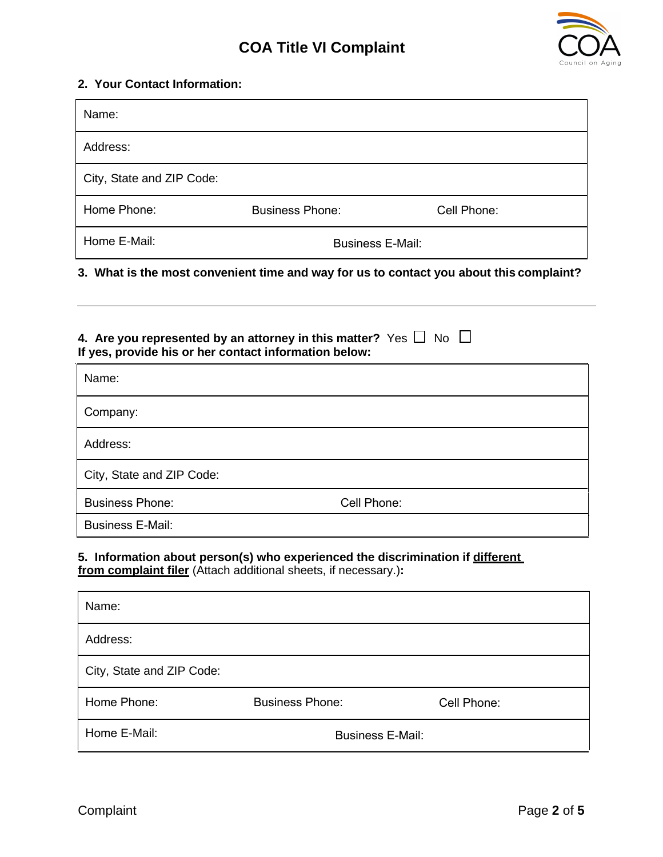

## **2. Your Contact Information:**

| Name:                     |                         |             |
|---------------------------|-------------------------|-------------|
| Address:                  |                         |             |
| City, State and ZIP Code: |                         |             |
| Home Phone:               | <b>Business Phone:</b>  | Cell Phone: |
| Home E-Mail:              | <b>Business E-Mail:</b> |             |

#### **3. What is the most convenient time and way for us to contact you about this complaint?**

## **4. Are you represented by an attorney in this matter?** Yes  $\Box$  No  $\Box$ **If yes, provide his or her contact information below:**

| Name:                     |             |
|---------------------------|-------------|
| Company:                  |             |
| Address:                  |             |
| City, State and ZIP Code: |             |
| <b>Business Phone:</b>    | Cell Phone: |
| <b>Business E-Mail:</b>   |             |

### **5. Information about person(s) who experienced the discrimination if different from complaint filer** (Attach additional sheets, if necessary.)**:**

| Name:                     |                         |             |
|---------------------------|-------------------------|-------------|
| Address:                  |                         |             |
| City, State and ZIP Code: |                         |             |
| Home Phone:               | <b>Business Phone:</b>  | Cell Phone: |
| Home E-Mail:              | <b>Business E-Mail:</b> |             |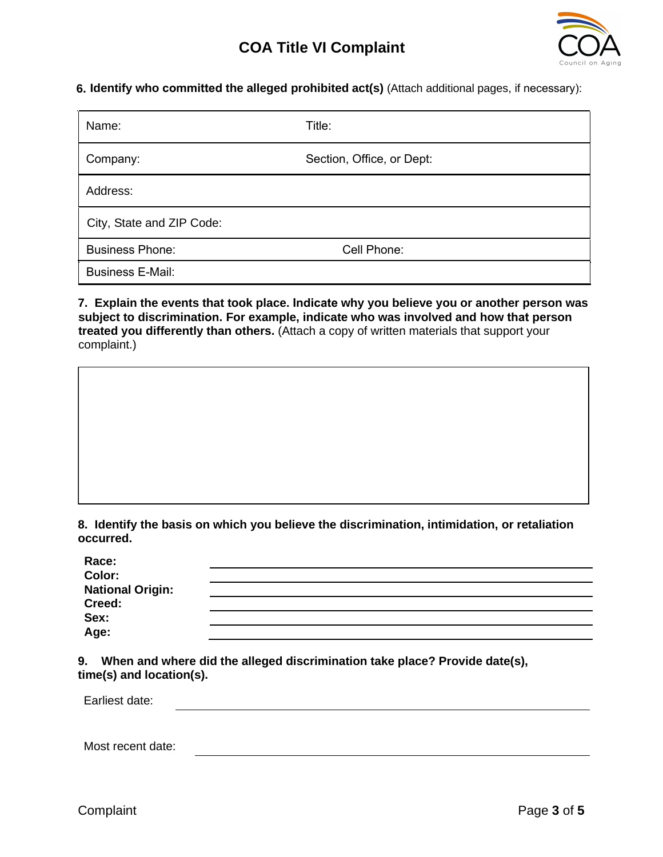

**6. Identify who committed the alleged prohibited act(s)** (Attach additional pages, if necessary):

| Name:                     | Title:                    |
|---------------------------|---------------------------|
| Company:                  | Section, Office, or Dept: |
| Address:                  |                           |
| City, State and ZIP Code: |                           |
| <b>Business Phone:</b>    | Cell Phone:               |
| <b>Business E-Mail:</b>   |                           |

**7. Explain the events that took place. Indicate why you believe you or another person was subject to discrimination. For example, indicate who was involved and how that person treated you differently than others.** (Attach a copy of written materials that support your complaint.)

**8. Identify the basis on which you believe the discrimination, intimidation, or retaliation occurred.**

| Race:<br>Color:         |  |  |
|-------------------------|--|--|
| <b>National Origin:</b> |  |  |
| Creed:                  |  |  |
|                         |  |  |
| Sex:<br>Age:            |  |  |
|                         |  |  |

**9. When and where did the alleged discrimination take place? Provide date(s), time(s) and location(s).**

| Earliest date:    |  |  |  |
|-------------------|--|--|--|
|                   |  |  |  |
| Most recent date: |  |  |  |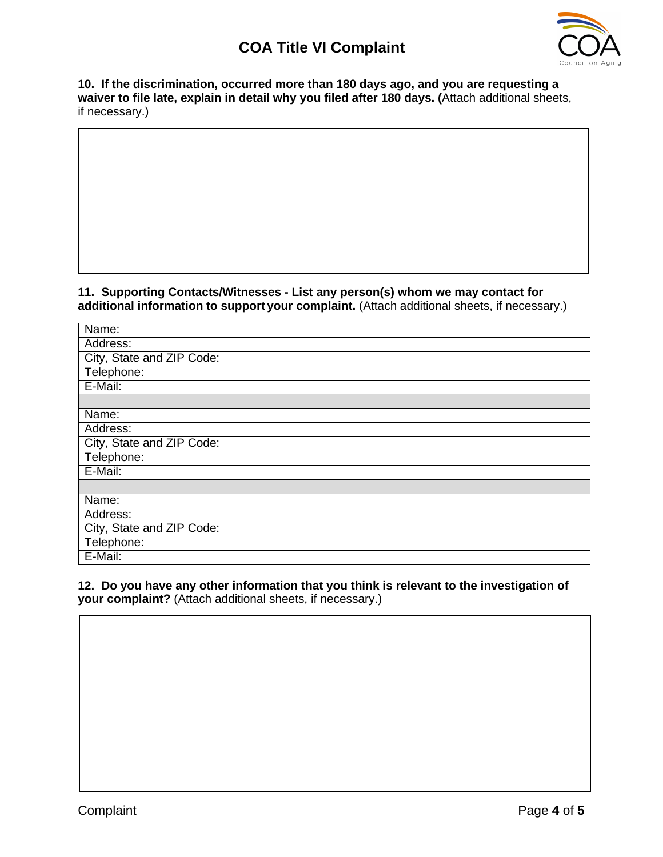

**10. If the discrimination, occurred more than 180 days ago, and you are requesting a waiver to file late, explain in detail why you filed after 180 days. (**Attach additional sheets, if necessary.)

**11. Supporting Contacts/Witnesses - List any person(s) whom we may contact for additional information to support your complaint.** (Attach additional sheets, if necessary.)

| Name:                     |
|---------------------------|
| Address:                  |
| City, State and ZIP Code: |
| Telephone:                |
| E-Mail:                   |
|                           |
| Name:                     |
| Address:                  |
| City, State and ZIP Code: |
| Telephone:                |
| $E$ -Mail:                |
|                           |
| Name:                     |
| Address:                  |
| City, State and ZIP Code: |
| Telephone:                |
| E-Mail:                   |

**12. Do you have any other information that you think is relevant to the investigation of your complaint?** (Attach additional sheets, if necessary.)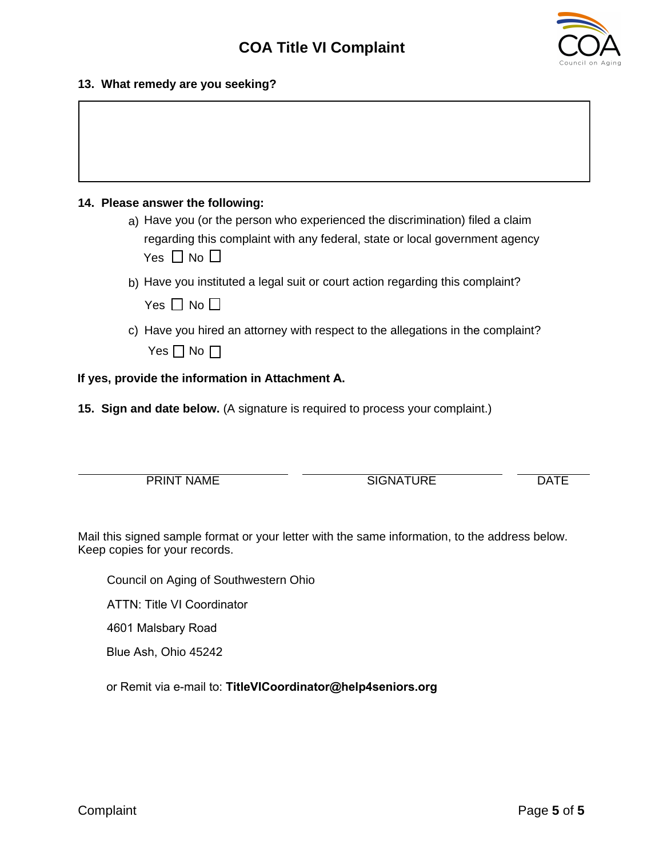

#### **13. What remedy are you seeking?**

### **14. Please answer the following:**

a) Have you (or the person who experienced the discrimination) filed a claim regarding this complaint with any federal, state or local government agency Yes  $\Box$  No  $\Box$ 

#### b) Have you instituted a legal suit or court action regarding this complaint?

Yes  $\Box$  No  $\Box$ 

c) Have you hired an attorney with respect to the allegations in the complaint? Yes  $\Box$  No  $\Box$ 

#### **If yes, provide the information in Attachment A.**

**15. Sign and date below.** (A signature is required to process your complaint.)

| <b>PRINT NAME</b> | TURE   | ١Δ |
|-------------------|--------|----|
|                   | 3IGNAT |    |

Mail this signed sample format or your letter with the same information, to the address below. Keep copies for your records.

Council on Aging of Southwestern Ohio

ATTN: Title VI Coordinator

4601 Malsbary Road

Blue Ash, Ohio 45242

or Remit via e-mail to: **TitleVICoordinator@help4seniors.org**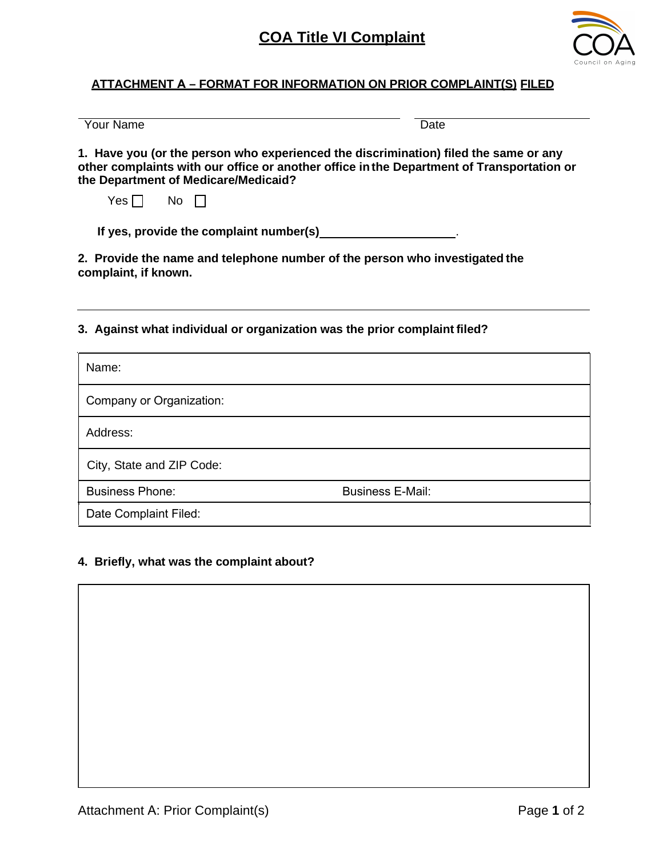

## **ATTACHMENT A – FORMAT FOR INFORMATION ON PRIOR COMPLAINT(S) FILED**

Your Name

**1. Have you (or the person who experienced the discrimination) filed the same or any other complaints with our office or another office inthe Department of Transportation or the Department of Medicare/Medicaid?** 

 $Yes \Box$  No  $\Box$ 

**If yes, provide the complaint number(s)** .

**2. Provide the name and telephone number of the person who investigated the complaint, if known.**

**3. Against what individual or organization was the prior complaint filed?**

| Name:                     |                         |
|---------------------------|-------------------------|
| Company or Organization:  |                         |
| Address:                  |                         |
| City, State and ZIP Code: |                         |
| <b>Business Phone:</b>    | <b>Business E-Mail:</b> |
| Date Complaint Filed:     |                         |

### **4. Briefly, what was the complaint about?**